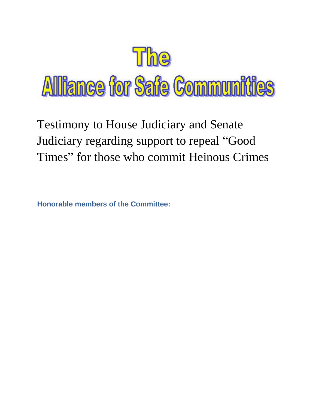

Testimony to House Judiciary and Senate Judiciary regarding support to repeal "Good Times" for those who commit Heinous Crimes

**Honorable members of the Committee:**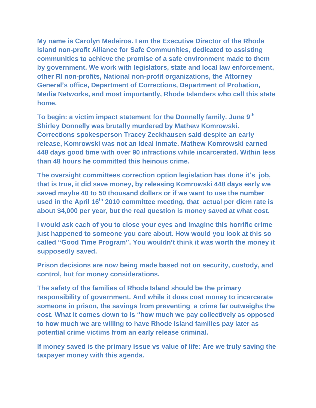**My name is Carolyn Medeiros. I am the Executive Director of the Rhode Island non-profit Alliance for Safe Communities, dedicated to assisting communities to achieve the promise of a safe environment made to them by government. We work with legislators, state and local law enforcement, other RI non-profits, National non-profit organizations, the Attorney General's office, Department of Corrections, Department of Probation, Media Networks, and most importantly, Rhode Islanders who call this state home.** 

**To begin: a victim impact statement for the Donnelly family. June 9th Shirley Donnelly was brutally murdered by Mathew Komrowski. Corrections spokesperson Tracey Zeckhausen said despite an early release, Komrowski was not an ideal inmate. Mathew Komrowski earned 448 days good time with over 90 infractions while incarcerated. Within less than 48 hours he committed this heinous crime.** 

**The oversight committees correction option legislation has done it's job, that is true, it did save money, by releasing Komrowski 448 days early we saved maybe 40 to 50 thousand dollars or if we want to use the number used in the April 16th 2010 committee meeting, that actual per diem rate is about \$4,000 per year, but the real question is money saved at what cost.** 

**I would ask each of you to close your eyes and imagine this horrific crime just happened to someone you care about. How would you look at this so called "Good Time Program". You wouldn't think it was worth the money it supposedly saved.**

**Prison decisions are now being made based not on security, custody, and control, but for money considerations.** 

**The safety of the families of Rhode Island should be the primary responsibility of government. And while it does cost money to incarcerate someone in prison, the savings from preventing a crime far outweighs the cost. What it comes down to is "how much we pay collectively as opposed to how much we are willing to have Rhode Island families pay later as potential crime victims from an early release criminal.** 

**If money saved is the primary issue vs value of life: Are we truly saving the taxpayer money with this agenda.**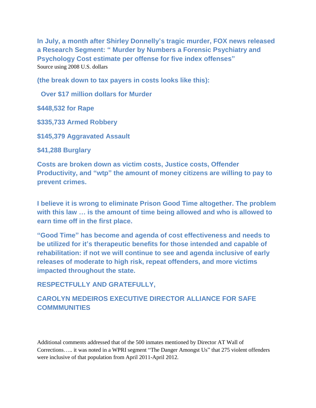**In July, a month after Shirley Donnelly's tragic murder, FOX news released a Research Segment: " Murder by Numbers a Forensic Psychiatry and Psychology Cost estimate per offense for five index offenses"** Source using 2008 U.S. dollars

**(the break down to tax payers in costs looks like this):**

 **Over \$17 million dollars for Murder**

**\$448,532 for Rape**

**\$335,733 Armed Robbery**

**\$145,379 Aggravated Assault**

**\$41,288 Burglary**

**Costs are broken down as victim costs, Justice costs, Offender Productivity, and "wtp" the amount of money citizens are willing to pay to prevent crimes.**

**I believe it is wrong to eliminate Prison Good Time altogether. The problem with this law … is the amount of time being allowed and who is allowed to earn time off in the first place.** 

**"Good Time" has become and agenda of cost effectiveness and needs to be utilized for it's therapeutic benefits for those intended and capable of rehabilitation: if not we will continue to see and agenda inclusive of early releases of moderate to high risk, repeat offenders, and more victims impacted throughout the state.**

## **RESPECTFULLY AND GRATEFULLY,**

## **CAROLYN MEDEIROS EXECUTIVE DIRECTOR ALLIANCE FOR SAFE COMMMUNITIES**

Additional comments addressed that of the 500 inmates mentioned by Director AT Wall of Corrections….. it was noted in a WPRI segment "The Danger Amongst Us" that 275 violent offenders were inclusive of that population from April 2011-April 2012.